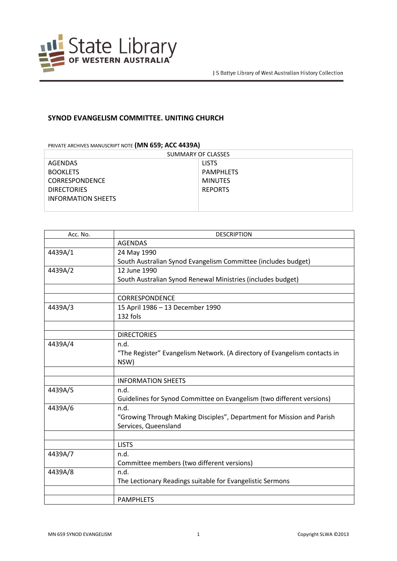

## **SYNOD EVANGELISM COMMITTEE. UNITING CHURCH**

PRIVATE ARCHIVES MANUSCRIPT NOTE **(MN 659; ACC 4439A)**

| SUMMARY OF CLASSES        |                |  |
|---------------------------|----------------|--|
| AGENDAS                   | <b>LISTS</b>   |  |
| <b>BOOKLETS</b>           | PAMPHLETS      |  |
| <b>CORRESPONDENCE</b>     | <b>MINUTES</b> |  |
| <b>DIRECTORIES</b>        | <b>REPORTS</b> |  |
| <b>INFORMATION SHEETS</b> |                |  |
|                           |                |  |

| Acc. No. | <b>DESCRIPTION</b>                                                        |
|----------|---------------------------------------------------------------------------|
|          | <b>AGENDAS</b>                                                            |
| 4439A/1  | 24 May 1990                                                               |
|          | South Australian Synod Evangelism Committee (includes budget)             |
| 4439A/2  | 12 June 1990                                                              |
|          | South Australian Synod Renewal Ministries (includes budget)               |
|          |                                                                           |
|          | <b>CORRESPONDENCE</b>                                                     |
| 4439A/3  | 15 April 1986 - 13 December 1990                                          |
|          | 132 fols                                                                  |
|          |                                                                           |
|          | <b>DIRECTORIES</b>                                                        |
| 4439A/4  | n.d.                                                                      |
|          | "The Register" Evangelism Network. (A directory of Evangelism contacts in |
|          | NSW)                                                                      |
|          |                                                                           |
|          | <b>INFORMATION SHEETS</b>                                                 |
| 4439A/5  | n.d.                                                                      |
|          | Guidelines for Synod Committee on Evangelism (two different versions)     |
| 4439A/6  | n.d.                                                                      |
|          | "Growing Through Making Disciples", Department for Mission and Parish     |
|          | Services, Queensland                                                      |
|          |                                                                           |
|          | <b>LISTS</b>                                                              |
| 4439A/7  | n.d.                                                                      |
|          | Committee members (two different versions)                                |
| 4439A/8  | n.d.                                                                      |
|          | The Lectionary Readings suitable for Evangelistic Sermons                 |
|          |                                                                           |
|          | <b>PAMPHLETS</b>                                                          |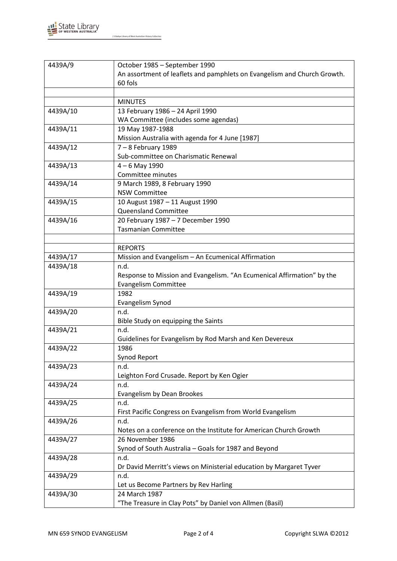

J S Battye Library of West Australian History Collection

| 4439A/9  | October 1985 - September 1990                                            |
|----------|--------------------------------------------------------------------------|
|          | An assortment of leaflets and pamphlets on Evangelism and Church Growth. |
|          | 60 fols                                                                  |
|          |                                                                          |
|          | <b>MINUTES</b>                                                           |
| 4439A/10 | 13 February 1986 - 24 April 1990                                         |
|          | WA Committee (includes some agendas)                                     |
| 4439A/11 | 19 May 1987-1988                                                         |
|          | Mission Australia with agenda for 4 June [1987]                          |
| 4439A/12 | $7 - 8$ February 1989                                                    |
|          | Sub-committee on Charismatic Renewal                                     |
| 4439A/13 | $4 - 6$ May 1990                                                         |
|          | Committee minutes                                                        |
| 4439A/14 | 9 March 1989, 8 February 1990                                            |
|          | <b>NSW Committee</b>                                                     |
| 4439A/15 | 10 August 1987 - 11 August 1990                                          |
|          | <b>Queensland Committee</b>                                              |
| 4439A/16 | 20 February 1987 - 7 December 1990                                       |
|          | <b>Tasmanian Committee</b>                                               |
|          |                                                                          |
|          | <b>REPORTS</b>                                                           |
| 4439A/17 | Mission and Evangelism - An Ecumenical Affirmation                       |
| 4439A/18 | n.d.                                                                     |
|          | Response to Mission and Evangelism. "An Ecumenical Affirmation" by the   |
|          | <b>Evangelism Committee</b>                                              |
| 4439A/19 | 1982                                                                     |
|          | Evangelism Synod                                                         |
| 4439A/20 | n.d.                                                                     |
|          | Bible Study on equipping the Saints                                      |
| 4439A/21 | n.d.                                                                     |
|          | Guidelines for Evangelism by Rod Marsh and Ken Devereux                  |
| 4439A/22 | 1986                                                                     |
|          | Synod Report                                                             |
| 4439A/23 | n.d.                                                                     |
|          | Leighton Ford Crusade. Report by Ken Ogier                               |
| 4439A/24 | n.d.                                                                     |
|          | Evangelism by Dean Brookes                                               |
| 4439A/25 | n.d.                                                                     |
|          | First Pacific Congress on Evangelism from World Evangelism               |
| 4439A/26 | n.d.                                                                     |
|          | Notes on a conference on the Institute for American Church Growth        |
| 4439A/27 | 26 November 1986                                                         |
|          | Synod of South Australia - Goals for 1987 and Beyond                     |
| 4439A/28 | n.d.                                                                     |
|          | Dr David Merritt's views on Ministerial education by Margaret Tyver      |
| 4439A/29 | n.d.                                                                     |
|          | Let us Become Partners by Rev Harling                                    |
| 4439A/30 | 24 March 1987                                                            |
|          | "The Treasure in Clay Pots" by Daniel von Allmen (Basil)                 |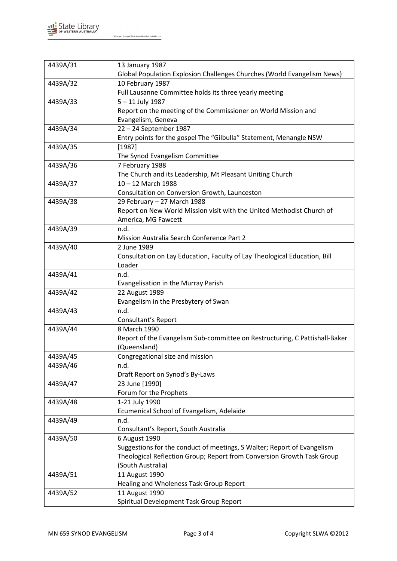

J S Battye Library of West Australian History Collection

| 4439A/31                                                 | 13 January 1987                                                                                                                                                                                                                                                                                                                                                                                                                                            |
|----------------------------------------------------------|------------------------------------------------------------------------------------------------------------------------------------------------------------------------------------------------------------------------------------------------------------------------------------------------------------------------------------------------------------------------------------------------------------------------------------------------------------|
|                                                          | Global Population Explosion Challenges Churches (World Evangelism News)                                                                                                                                                                                                                                                                                                                                                                                    |
| 4439A/32                                                 | 10 February 1987                                                                                                                                                                                                                                                                                                                                                                                                                                           |
|                                                          | Full Lausanne Committee holds its three yearly meeting                                                                                                                                                                                                                                                                                                                                                                                                     |
| 4439A/33                                                 | $5 - 11$ July 1987                                                                                                                                                                                                                                                                                                                                                                                                                                         |
|                                                          | Report on the meeting of the Commissioner on World Mission and                                                                                                                                                                                                                                                                                                                                                                                             |
|                                                          | Evangelism, Geneva                                                                                                                                                                                                                                                                                                                                                                                                                                         |
| 4439A/34                                                 | 22 - 24 September 1987                                                                                                                                                                                                                                                                                                                                                                                                                                     |
|                                                          | Entry points for the gospel The "Gilbulla" Statement, Menangle NSW                                                                                                                                                                                                                                                                                                                                                                                         |
| 4439A/35                                                 | [1987]                                                                                                                                                                                                                                                                                                                                                                                                                                                     |
|                                                          | The Synod Evangelism Committee                                                                                                                                                                                                                                                                                                                                                                                                                             |
| 4439A/36                                                 | 7 February 1988                                                                                                                                                                                                                                                                                                                                                                                                                                            |
|                                                          | The Church and its Leadership, Mt Pleasant Uniting Church                                                                                                                                                                                                                                                                                                                                                                                                  |
| 4439A/37                                                 | 10-12 March 1988                                                                                                                                                                                                                                                                                                                                                                                                                                           |
|                                                          | Consultation on Conversion Growth, Launceston                                                                                                                                                                                                                                                                                                                                                                                                              |
| 4439A/38                                                 | 29 February - 27 March 1988                                                                                                                                                                                                                                                                                                                                                                                                                                |
|                                                          | Report on New World Mission visit with the United Methodist Church of                                                                                                                                                                                                                                                                                                                                                                                      |
|                                                          | America, MG Fawcett                                                                                                                                                                                                                                                                                                                                                                                                                                        |
| 4439A/39                                                 | n.d.                                                                                                                                                                                                                                                                                                                                                                                                                                                       |
|                                                          | Mission Australia Search Conference Part 2                                                                                                                                                                                                                                                                                                                                                                                                                 |
| 4439A/40                                                 | 2 June 1989                                                                                                                                                                                                                                                                                                                                                                                                                                                |
|                                                          | Consultation on Lay Education, Faculty of Lay Theological Education, Bill                                                                                                                                                                                                                                                                                                                                                                                  |
|                                                          | Loader                                                                                                                                                                                                                                                                                                                                                                                                                                                     |
| 4439A/41                                                 | n.d.                                                                                                                                                                                                                                                                                                                                                                                                                                                       |
|                                                          | Evangelisation in the Murray Parish                                                                                                                                                                                                                                                                                                                                                                                                                        |
| 4439A/42                                                 | 22 August 1989                                                                                                                                                                                                                                                                                                                                                                                                                                             |
|                                                          | Evangelism in the Presbytery of Swan                                                                                                                                                                                                                                                                                                                                                                                                                       |
| 4439A/43                                                 | n.d.                                                                                                                                                                                                                                                                                                                                                                                                                                                       |
|                                                          | Consultant's Report                                                                                                                                                                                                                                                                                                                                                                                                                                        |
| 4439A/44                                                 | 8 March 1990                                                                                                                                                                                                                                                                                                                                                                                                                                               |
|                                                          | Report of the Evangelism Sub-committee on Restructuring, C Pattishall-Baker                                                                                                                                                                                                                                                                                                                                                                                |
|                                                          | (Queensland)                                                                                                                                                                                                                                                                                                                                                                                                                                               |
| 4439A/45                                                 | Congregational size and mission                                                                                                                                                                                                                                                                                                                                                                                                                            |
| 4439A/46                                                 | n.d.                                                                                                                                                                                                                                                                                                                                                                                                                                                       |
|                                                          | Draft Report on Synod's By-Laws                                                                                                                                                                                                                                                                                                                                                                                                                            |
| 4439A/47                                                 | 23 June [1990]                                                                                                                                                                                                                                                                                                                                                                                                                                             |
|                                                          |                                                                                                                                                                                                                                                                                                                                                                                                                                                            |
|                                                          |                                                                                                                                                                                                                                                                                                                                                                                                                                                            |
|                                                          |                                                                                                                                                                                                                                                                                                                                                                                                                                                            |
|                                                          |                                                                                                                                                                                                                                                                                                                                                                                                                                                            |
|                                                          |                                                                                                                                                                                                                                                                                                                                                                                                                                                            |
|                                                          |                                                                                                                                                                                                                                                                                                                                                                                                                                                            |
|                                                          |                                                                                                                                                                                                                                                                                                                                                                                                                                                            |
|                                                          |                                                                                                                                                                                                                                                                                                                                                                                                                                                            |
|                                                          |                                                                                                                                                                                                                                                                                                                                                                                                                                                            |
|                                                          |                                                                                                                                                                                                                                                                                                                                                                                                                                                            |
|                                                          |                                                                                                                                                                                                                                                                                                                                                                                                                                                            |
|                                                          |                                                                                                                                                                                                                                                                                                                                                                                                                                                            |
| 4439A/48<br>4439A/49<br>4439A/50<br>4439A/51<br>4439A/52 | Forum for the Prophets<br>1-21 July 1990<br>Ecumenical School of Evangelism, Adelaide<br>n.d.<br>Consultant's Report, South Australia<br>6 August 1990<br>Suggestions for the conduct of meetings, S Walter; Report of Evangelism<br>Theological Reflection Group; Report from Conversion Growth Task Group<br>(South Australia)<br>11 August 1990<br>Healing and Wholeness Task Group Report<br>11 August 1990<br>Spiritual Development Task Group Report |